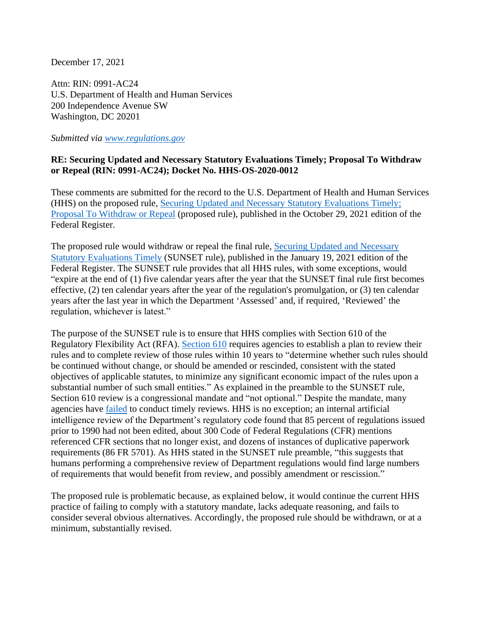December 17, 2021

Attn: RIN: 0991-AC24 U.S. Department of Health and Human Services 200 Independence Avenue SW Washington, DC 20201

*Submitted via [www.regulations.gov](http://www.regulations.gov/)*

## **RE: Securing Updated and Necessary Statutory Evaluations Timely; Proposal To Withdraw or Repeal (RIN: 0991-AC24); Docket No. HHS-OS-2020-0012**

These comments are submitted for the record to the U.S. Department of Health and Human Services (HHS) on the proposed rule, [Securing Updated and Necessary Statutory Evaluations Timely;](https://www.federalregister.gov/documents/2021/10/29/2021-23472/securing-updated-and-necessary-statutory-evaluations-timely-proposal-to-withdraw-or-repeal)  [Proposal To Withdraw or Repeal](https://www.federalregister.gov/documents/2021/10/29/2021-23472/securing-updated-and-necessary-statutory-evaluations-timely-proposal-to-withdraw-or-repeal) (proposed rule), published in the October 29, 2021 edition of the Federal Register.

The proposed rule would withdraw or repeal the final rule, [Securing Updated and Necessary](https://www.federalregister.gov/documents/2021/01/19/2021-00597/securing-updated-and-necessary-statutory-evaluations-timely)  [Statutory Evaluations Timely](https://www.federalregister.gov/documents/2021/01/19/2021-00597/securing-updated-and-necessary-statutory-evaluations-timely) (SUNSET rule), published in the January 19, 2021 edition of the Federal Register. The SUNSET rule provides that all HHS rules, with some exceptions, would "expire at the end of (1) five calendar years after the year that the SUNSET final rule first becomes effective, (2) ten calendar years after the year of the regulation's promulgation, or (3) ten calendar years after the last year in which the Department 'Assessed' and, if required, 'Reviewed' the regulation, whichever is latest."

The purpose of the SUNSET rule is to ensure that HHS complies with Section 610 of the Regulatory Flexibility Act (RFA). [Section 610](https://www.govinfo.gov/content/pkg/USCODE-2019-title5/html/USCODE-2019-title5-partI-chap6-sec610.htm) requires agencies to establish a plan to review their rules and to complete review of those rules within 10 years to "determine whether such rules should be continued without change, or should be amended or rescinded, consistent with the stated objectives of applicable statutes, to minimize any significant economic impact of the rules upon a substantial number of such small entities." As explained in the preamble to the SUNSET rule, Section 610 review is a congressional mandate and "not optional." Despite the mandate, many agencies have [failed](https://www.americanactionforum.org/insight/the-failed-promise-of-section-610-reviews/) to conduct timely reviews. HHS is no exception; an internal artificial intelligence review of the Department's regulatory code found that 85 percent of regulations issued prior to 1990 had not been edited, about 300 Code of Federal Regulations (CFR) mentions referenced CFR sections that no longer exist, and dozens of instances of duplicative paperwork requirements (86 FR 5701). As HHS stated in the SUNSET rule preamble, "this suggests that humans performing a comprehensive review of Department regulations would find large numbers of requirements that would benefit from review, and possibly amendment or rescission."

The proposed rule is problematic because, as explained below, it would continue the current HHS practice of failing to comply with a statutory mandate, lacks adequate reasoning, and fails to consider several obvious alternatives. Accordingly, the proposed rule should be withdrawn, or at a minimum, substantially revised.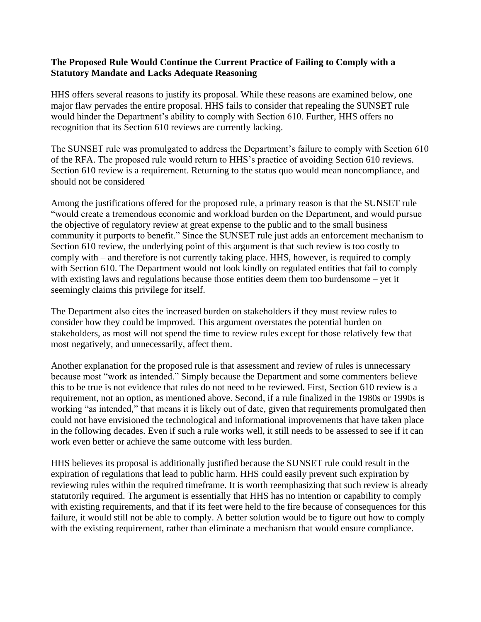## **The Proposed Rule Would Continue the Current Practice of Failing to Comply with a Statutory Mandate and Lacks Adequate Reasoning**

HHS offers several reasons to justify its proposal. While these reasons are examined below, one major flaw pervades the entire proposal. HHS fails to consider that repealing the SUNSET rule would hinder the Department's ability to comply with Section 610. Further, HHS offers no recognition that its Section 610 reviews are currently lacking.

The SUNSET rule was promulgated to address the Department's failure to comply with Section 610 of the RFA. The proposed rule would return to HHS's practice of avoiding Section 610 reviews. Section 610 review is a requirement. Returning to the status quo would mean noncompliance, and should not be considered

Among the justifications offered for the proposed rule, a primary reason is that the SUNSET rule "would create a tremendous economic and workload burden on the Department, and would pursue the objective of regulatory review at great expense to the public and to the small business community it purports to benefit." Since the SUNSET rule just adds an enforcement mechanism to Section 610 review, the underlying point of this argument is that such review is too costly to comply with – and therefore is not currently taking place. HHS, however, is required to comply with Section 610. The Department would not look kindly on regulated entities that fail to comply with existing laws and regulations because those entities deem them too burdensome – yet it seemingly claims this privilege for itself.

The Department also cites the increased burden on stakeholders if they must review rules to consider how they could be improved. This argument overstates the potential burden on stakeholders, as most will not spend the time to review rules except for those relatively few that most negatively, and unnecessarily, affect them.

Another explanation for the proposed rule is that assessment and review of rules is unnecessary because most "work as intended." Simply because the Department and some commenters believe this to be true is not evidence that rules do not need to be reviewed. First, Section 610 review is a requirement, not an option, as mentioned above. Second, if a rule finalized in the 1980s or 1990s is working "as intended," that means it is likely out of date, given that requirements promulgated then could not have envisioned the technological and informational improvements that have taken place in the following decades. Even if such a rule works well, it still needs to be assessed to see if it can work even better or achieve the same outcome with less burden.

HHS believes its proposal is additionally justified because the SUNSET rule could result in the expiration of regulations that lead to public harm. HHS could easily prevent such expiration by reviewing rules within the required timeframe. It is worth reemphasizing that such review is already statutorily required. The argument is essentially that HHS has no intention or capability to comply with existing requirements, and that if its feet were held to the fire because of consequences for this failure, it would still not be able to comply. A better solution would be to figure out how to comply with the existing requirement, rather than eliminate a mechanism that would ensure compliance.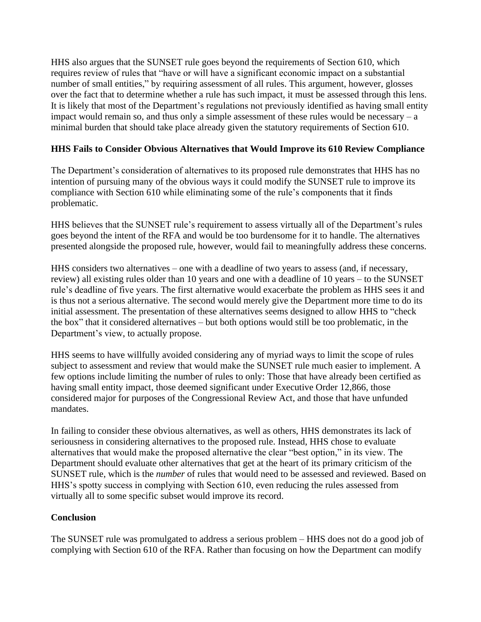HHS also argues that the SUNSET rule goes beyond the requirements of Section 610, which requires review of rules that "have or will have a significant economic impact on a substantial number of small entities," by requiring assessment of all rules. This argument, however, glosses over the fact that to determine whether a rule has such impact, it must be assessed through this lens. It is likely that most of the Department's regulations not previously identified as having small entity impact would remain so, and thus only a simple assessment of these rules would be necessary  $- a$ minimal burden that should take place already given the statutory requirements of Section 610.

## **HHS Fails to Consider Obvious Alternatives that Would Improve its 610 Review Compliance**

The Department's consideration of alternatives to its proposed rule demonstrates that HHS has no intention of pursuing many of the obvious ways it could modify the SUNSET rule to improve its compliance with Section 610 while eliminating some of the rule's components that it finds problematic.

HHS believes that the SUNSET rule's requirement to assess virtually all of the Department's rules goes beyond the intent of the RFA and would be too burdensome for it to handle. The alternatives presented alongside the proposed rule, however, would fail to meaningfully address these concerns.

HHS considers two alternatives – one with a deadline of two years to assess (and, if necessary, review) all existing rules older than 10 years and one with a deadline of 10 years – to the SUNSET rule's deadline of five years. The first alternative would exacerbate the problem as HHS sees it and is thus not a serious alternative. The second would merely give the Department more time to do its initial assessment. The presentation of these alternatives seems designed to allow HHS to "check the box" that it considered alternatives – but both options would still be too problematic, in the Department's view, to actually propose.

HHS seems to have willfully avoided considering any of myriad ways to limit the scope of rules subject to assessment and review that would make the SUNSET rule much easier to implement. A few options include limiting the number of rules to only: Those that have already been certified as having small entity impact, those deemed significant under Executive Order 12,866, those considered major for purposes of the Congressional Review Act, and those that have unfunded mandates.

In failing to consider these obvious alternatives, as well as others, HHS demonstrates its lack of seriousness in considering alternatives to the proposed rule. Instead, HHS chose to evaluate alternatives that would make the proposed alternative the clear "best option," in its view. The Department should evaluate other alternatives that get at the heart of its primary criticism of the SUNSET rule, which is the *number* of rules that would need to be assessed and reviewed. Based on HHS's spotty success in complying with Section 610, even reducing the rules assessed from virtually all to some specific subset would improve its record.

## **Conclusion**

The SUNSET rule was promulgated to address a serious problem – HHS does not do a good job of complying with Section 610 of the RFA. Rather than focusing on how the Department can modify